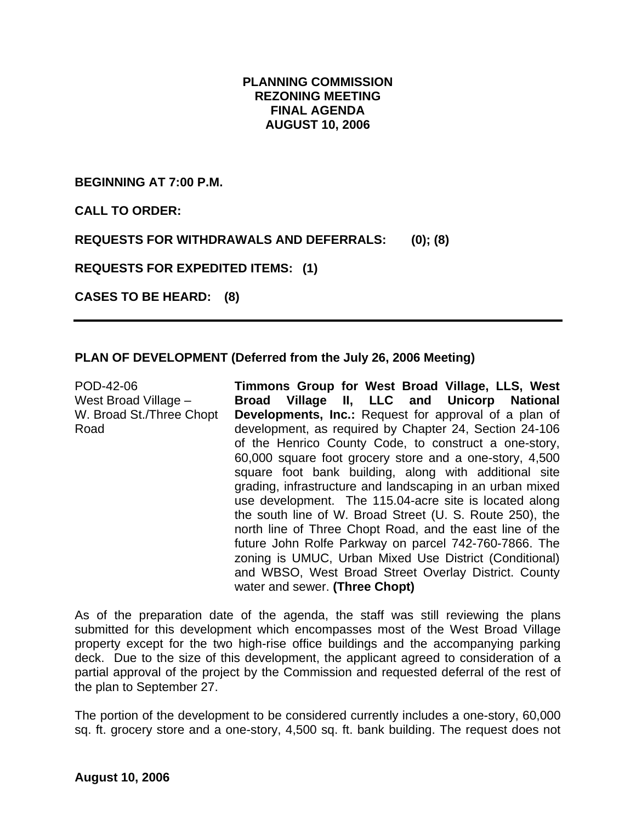# **PLANNING COMMISSION REZONING MEETING FINAL AGENDA AUGUST 10, 2006**

**BEGINNING AT 7:00 P.M.** 

**CALL TO ORDER:** 

**REQUESTS FOR WITHDRAWALS AND DEFERRALS: (0); (8)** 

**REQUESTS FOR EXPEDITED ITEMS: (1)** 

**CASES TO BE HEARD: (8)** 

### **PLAN OF DEVELOPMENT (Deferred from the July 26, 2006 Meeting)**

POD-42-06 West Broad Village – W. Broad St./Three Chopt Road

**Timmons Group for West Broad Village, LLS, West Broad Village II, LLC and Unicorp National Developments, Inc.:** Request for approval of a plan of development, as required by Chapter 24, Section 24-106 of the Henrico County Code, to construct a one-story, 60,000 square foot grocery store and a one-story, 4,500 square foot bank building, along with additional site grading, infrastructure and landscaping in an urban mixed use development. The 115.04-acre site is located along the south line of W. Broad Street (U. S. Route 250), the north line of Three Chopt Road, and the east line of the future John Rolfe Parkway on parcel 742-760-7866. The zoning is UMUC, Urban Mixed Use District (Conditional) and WBSO, West Broad Street Overlay District. County water and sewer. **(Three Chopt)** 

As of the preparation date of the agenda, the staff was still reviewing the plans submitted for this development which encompasses most of the West Broad Village property except for the two high-rise office buildings and the accompanying parking deck. Due to the size of this development, the applicant agreed to consideration of a partial approval of the project by the Commission and requested deferral of the rest of the plan to September 27.

The portion of the development to be considered currently includes a one-story, 60,000 sq. ft. grocery store and a one-story, 4,500 sq. ft. bank building. The request does not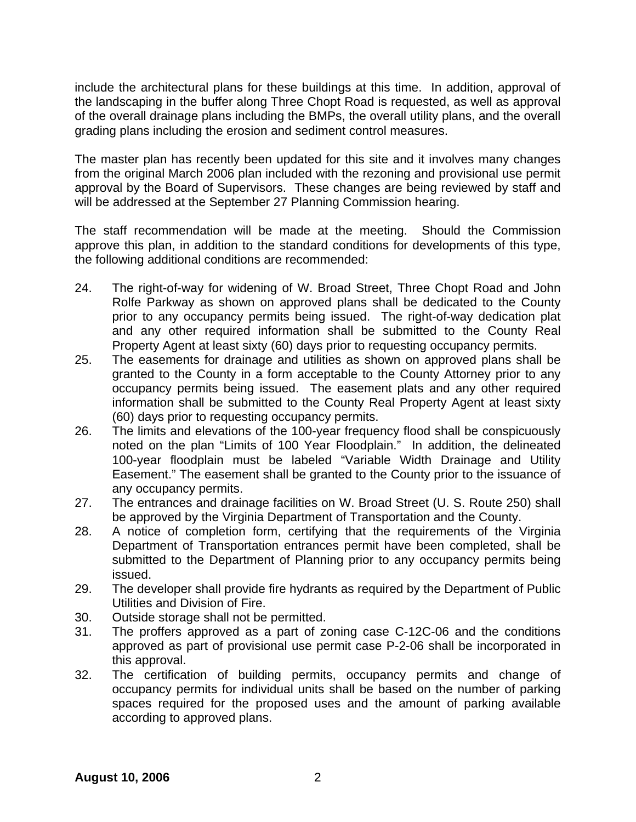include the architectural plans for these buildings at this time. In addition, approval of the landscaping in the buffer along Three Chopt Road is requested, as well as approval of the overall drainage plans including the BMPs, the overall utility plans, and the overall grading plans including the erosion and sediment control measures.

The master plan has recently been updated for this site and it involves many changes from the original March 2006 plan included with the rezoning and provisional use permit approval by the Board of Supervisors. These changes are being reviewed by staff and will be addressed at the September 27 Planning Commission hearing.

The staff recommendation will be made at the meeting. Should the Commission approve this plan, in addition to the standard conditions for developments of this type, the following additional conditions are recommended:

- 24. The right-of-way for widening of W. Broad Street, Three Chopt Road and John Rolfe Parkway as shown on approved plans shall be dedicated to the County prior to any occupancy permits being issued. The right-of-way dedication plat and any other required information shall be submitted to the County Real Property Agent at least sixty (60) days prior to requesting occupancy permits.
- 25. The easements for drainage and utilities as shown on approved plans shall be granted to the County in a form acceptable to the County Attorney prior to any occupancy permits being issued. The easement plats and any other required information shall be submitted to the County Real Property Agent at least sixty (60) days prior to requesting occupancy permits.
- 26. The limits and elevations of the 100-year frequency flood shall be conspicuously noted on the plan "Limits of 100 Year Floodplain." In addition, the delineated 100-year floodplain must be labeled "Variable Width Drainage and Utility Easement." The easement shall be granted to the County prior to the issuance of any occupancy permits.
- 27. The entrances and drainage facilities on W. Broad Street (U. S. Route 250) shall be approved by the Virginia Department of Transportation and the County.
- 28. A notice of completion form, certifying that the requirements of the Virginia Department of Transportation entrances permit have been completed, shall be submitted to the Department of Planning prior to any occupancy permits being issued.
- 29. The developer shall provide fire hydrants as required by the Department of Public Utilities and Division of Fire.
- 30. Outside storage shall not be permitted.
- 31. The proffers approved as a part of zoning case C-12C-06 and the conditions approved as part of provisional use permit case P-2-06 shall be incorporated in this approval.
- 32. The certification of building permits, occupancy permits and change of occupancy permits for individual units shall be based on the number of parking spaces required for the proposed uses and the amount of parking available according to approved plans.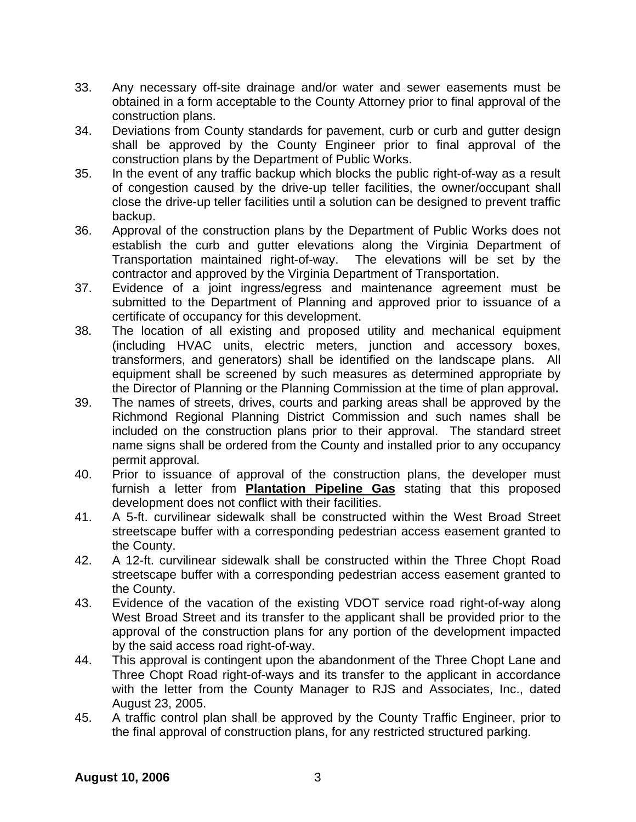- 33. Any necessary off-site drainage and/or water and sewer easements must be obtained in a form acceptable to the County Attorney prior to final approval of the construction plans.
- 34. Deviations from County standards for pavement, curb or curb and gutter design shall be approved by the County Engineer prior to final approval of the construction plans by the Department of Public Works.
- 35. In the event of any traffic backup which blocks the public right-of-way as a result of congestion caused by the drive-up teller facilities, the owner/occupant shall close the drive-up teller facilities until a solution can be designed to prevent traffic backup.
- 36. Approval of the construction plans by the Department of Public Works does not establish the curb and gutter elevations along the Virginia Department of Transportation maintained right-of-way. The elevations will be set by the contractor and approved by the Virginia Department of Transportation.
- 37. Evidence of a joint ingress/egress and maintenance agreement must be submitted to the Department of Planning and approved prior to issuance of a certificate of occupancy for this development.
- 38. The location of all existing and proposed utility and mechanical equipment (including HVAC units, electric meters, junction and accessory boxes, transformers, and generators) shall be identified on the landscape plans. All equipment shall be screened by such measures as determined appropriate by the Director of Planning or the Planning Commission at the time of plan approval**.**
- 39. The names of streets, drives, courts and parking areas shall be approved by the Richmond Regional Planning District Commission and such names shall be included on the construction plans prior to their approval. The standard street name signs shall be ordered from the County and installed prior to any occupancy permit approval.
- 40. Prior to issuance of approval of the construction plans, the developer must furnish a letter from **Plantation Pipeline Gas** stating that this proposed development does not conflict with their facilities.
- 41. A 5-ft. curvilinear sidewalk shall be constructed within the West Broad Street streetscape buffer with a corresponding pedestrian access easement granted to the County.
- 42. A 12-ft. curvilinear sidewalk shall be constructed within the Three Chopt Road streetscape buffer with a corresponding pedestrian access easement granted to the County.
- 43. Evidence of the vacation of the existing VDOT service road right-of-way along West Broad Street and its transfer to the applicant shall be provided prior to the approval of the construction plans for any portion of the development impacted by the said access road right-of-way.
- 44. This approval is contingent upon the abandonment of the Three Chopt Lane and Three Chopt Road right-of-ways and its transfer to the applicant in accordance with the letter from the County Manager to RJS and Associates, Inc., dated August 23, 2005.
- 45. A traffic control plan shall be approved by the County Traffic Engineer, prior to the final approval of construction plans, for any restricted structured parking.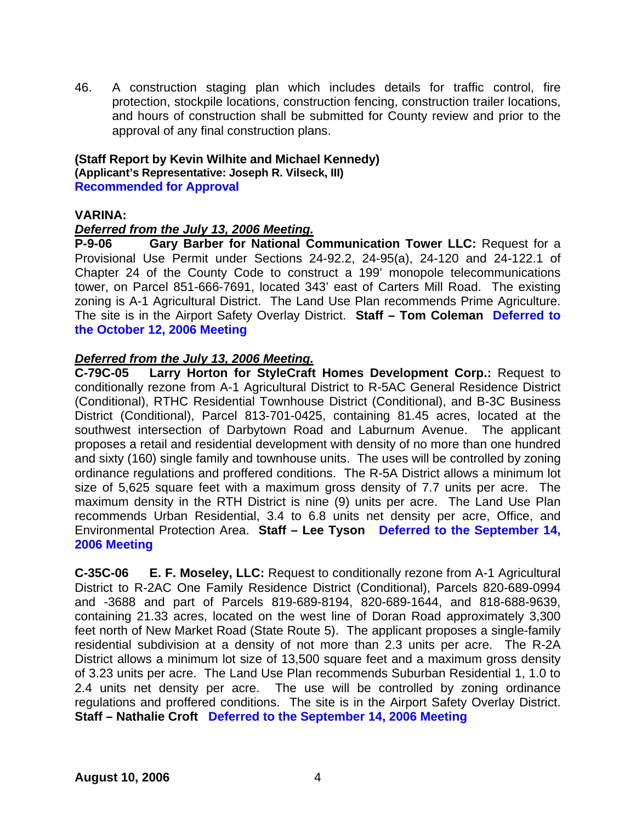46. A construction staging plan which includes details for traffic control, fire protection, stockpile locations, construction fencing, construction trailer locations, and hours of construction shall be submitted for County review and prior to the approval of any final construction plans.

**(Staff Report by Kevin Wilhite and Michael Kennedy) (Applicant's Representative: Joseph R. Vilseck, III) Recommended for Approval** 

### **VARINA:**

### *Deferred from the July 13, 2006 Meeting.*

**P-9-06 Gary Barber for National Communication Tower LLC:** Request for a Provisional Use Permit under Sections 24-92.2, 24-95(a), 24-120 and 24-122.1 of Chapter 24 of the County Code to construct a 199' monopole telecommunications tower, on Parcel 851-666-7691, located 343' east of Carters Mill Road. The existing zoning is A-1 Agricultural District. The Land Use Plan recommends Prime Agriculture. The site is in the Airport Safety Overlay District. **Staff – Tom Coleman Deferred to the October 12, 2006 Meeting** 

### *Deferred from the July 13, 2006 Meeting.*

**C-79C-05 Larry Horton for StyleCraft Homes Development Corp.:** Request to conditionally rezone from A-1 Agricultural District to R-5AC General Residence District (Conditional), RTHC Residential Townhouse District (Conditional), and B-3C Business District (Conditional), Parcel 813-701-0425, containing 81.45 acres, located at the southwest intersection of Darbytown Road and Laburnum Avenue. The applicant proposes a retail and residential development with density of no more than one hundred and sixty (160) single family and townhouse units. The uses will be controlled by zoning ordinance regulations and proffered conditions. The R-5A District allows a minimum lot size of 5,625 square feet with a maximum gross density of 7.7 units per acre. The maximum density in the RTH District is nine (9) units per acre. The Land Use Plan recommends Urban Residential, 3.4 to 6.8 units net density per acre, Office, and Environmental Protection Area. **Staff – Lee Tyson Deferred to the September 14, 2006 Meeting** 

**C-35C-06 E. F. Moseley, LLC:** Request to conditionally rezone from A-1 Agricultural District to R-2AC One Family Residence District (Conditional), Parcels 820-689-0994 and -3688 and part of Parcels 819-689-8194, 820-689-1644, and 818-688-9639, containing 21.33 acres, located on the west line of Doran Road approximately 3,300 feet north of New Market Road (State Route 5). The applicant proposes a single-family residential subdivision at a density of not more than 2.3 units per acre. The R-2A District allows a minimum lot size of 13,500 square feet and a maximum gross density of 3.23 units per acre. The Land Use Plan recommends Suburban Residential 1, 1.0 to 2.4 units net density per acre. The use will be controlled by zoning ordinance regulations and proffered conditions. The site is in the Airport Safety Overlay District. **Staff – Nathalie Croft Deferred to the September 14, 2006 Meeting**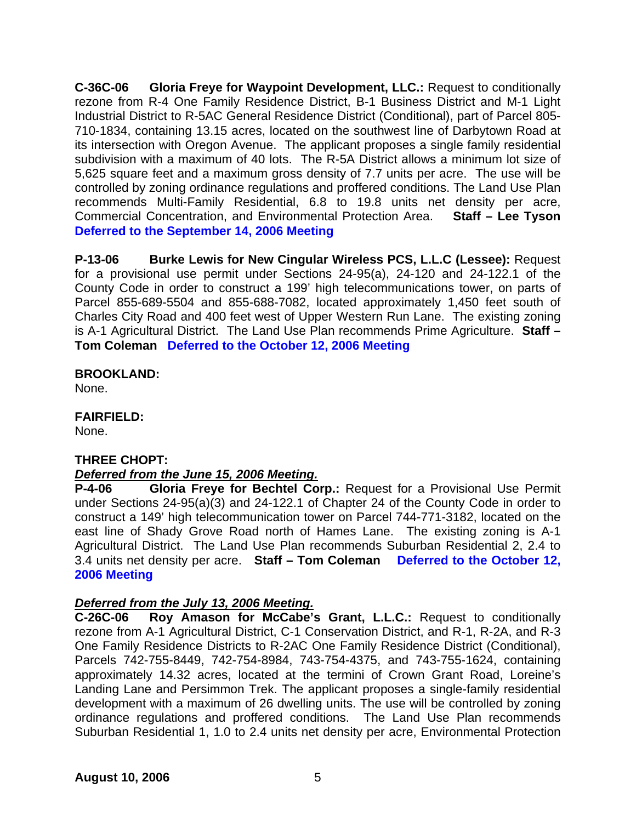**C-36C-06 Gloria Freye for Waypoint Development, LLC.:** Request to conditionally rezone from R-4 One Family Residence District, B-1 Business District and M-1 Light Industrial District to R-5AC General Residence District (Conditional), part of Parcel 805- 710-1834, containing 13.15 acres, located on the southwest line of Darbytown Road at its intersection with Oregon Avenue. The applicant proposes a single family residential subdivision with a maximum of 40 lots. The R-5A District allows a minimum lot size of 5,625 square feet and a maximum gross density of 7.7 units per acre. The use will be controlled by zoning ordinance regulations and proffered conditions. The Land Use Plan recommends Multi-Family Residential, 6.8 to 19.8 units net density per acre, Commercial Concentration, and Environmental Protection Area. **Staff – Lee Tyson Deferred to the September 14, 2006 Meeting** 

**P-13-06 Burke Lewis for New Cingular Wireless PCS, L.L.C (Lessee):** Request for a provisional use permit under Sections 24-95(a), 24-120 and 24-122.1 of the County Code in order to construct a 199' high telecommunications tower, on parts of Parcel 855-689-5504 and 855-688-7082, located approximately 1,450 feet south of Charles City Road and 400 feet west of Upper Western Run Lane. The existing zoning is A-1 Agricultural District. The Land Use Plan recommends Prime Agriculture. **Staff – Tom Coleman Deferred to the October 12, 2006 Meeting** 

### **BROOKLAND:**

None.

## **FAIRFIELD:**

None.

# **THREE CHOPT:**

# *Deferred from the June 15, 2006 Meeting.*

**P-4-06 Gloria Freye for Bechtel Corp.:** Request for a Provisional Use Permit under Sections 24-95(a)(3) and 24-122.1 of Chapter 24 of the County Code in order to construct a 149' high telecommunication tower on Parcel 744-771-3182, located on the east line of Shady Grove Road north of Hames Lane. The existing zoning is A-1 Agricultural District. The Land Use Plan recommends Suburban Residential 2, 2.4 to 3.4 units net density per acre. **Staff – Tom Coleman Deferred to the October 12, 2006 Meeting** 

# *Deferred from the July 13, 2006 Meeting.*

**C-26C-06 Roy Amason for McCabe's Grant, L.L.C.:** Request to conditionally rezone from A-1 Agricultural District, C-1 Conservation District, and R-1, R-2A, and R-3 One Family Residence Districts to R-2AC One Family Residence District (Conditional), Parcels 742-755-8449, 742-754-8984, 743-754-4375, and 743-755-1624, containing approximately 14.32 acres, located at the termini of Crown Grant Road, Loreine's Landing Lane and Persimmon Trek. The applicant proposes a single-family residential development with a maximum of 26 dwelling units. The use will be controlled by zoning ordinance regulations and proffered conditions. The Land Use Plan recommends Suburban Residential 1, 1.0 to 2.4 units net density per acre, Environmental Protection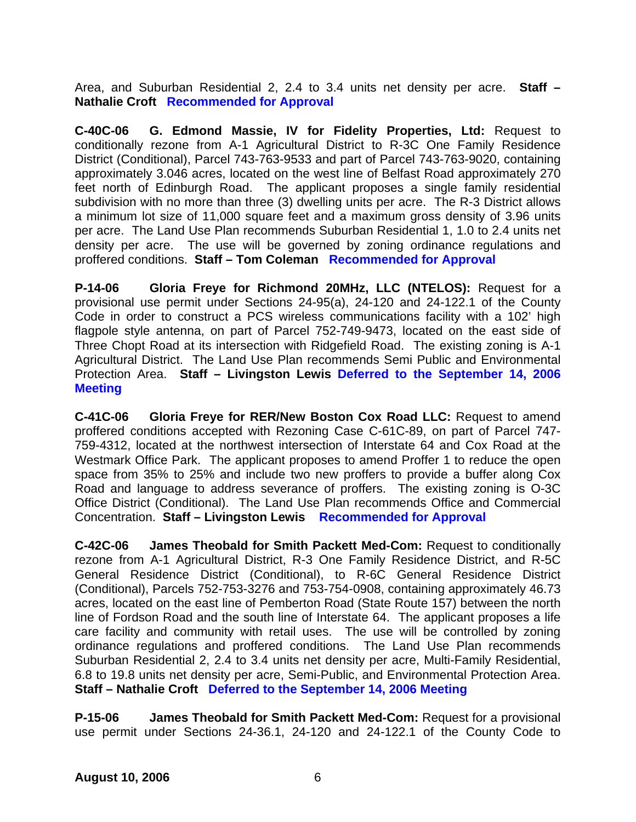Area, and Suburban Residential 2, 2.4 to 3.4 units net density per acre. **Staff – Nathalie Croft Recommended for Approval**

**C-40C-06 G. Edmond Massie, IV for Fidelity Properties, Ltd:** Request to conditionally rezone from A-1 Agricultural District to R-3C One Family Residence District (Conditional), Parcel 743-763-9533 and part of Parcel 743-763-9020, containing approximately 3.046 acres, located on the west line of Belfast Road approximately 270 feet north of Edinburgh Road. The applicant proposes a single family residential subdivision with no more than three (3) dwelling units per acre. The R-3 District allows a minimum lot size of 11,000 square feet and a maximum gross density of 3.96 units per acre. The Land Use Plan recommends Suburban Residential 1, 1.0 to 2.4 units net density per acre. The use will be governed by zoning ordinance regulations and proffered conditions. **Staff – Tom Coleman Recommended for Approval** 

**P-14-06 Gloria Freye for Richmond 20MHz, LLC (NTELOS):** Request for a provisional use permit under Sections 24-95(a), 24-120 and 24-122.1 of the County Code in order to construct a PCS wireless communications facility with a 102' high flagpole style antenna, on part of Parcel 752-749-9473, located on the east side of Three Chopt Road at its intersection with Ridgefield Road. The existing zoning is A-1 Agricultural District. The Land Use Plan recommends Semi Public and Environmental Protection Area. **Staff – Livingston Lewis Deferred to the September 14, 2006 Meeting** 

**C-41C-06 Gloria Freye for RER/New Boston Cox Road LLC:** Request to amend proffered conditions accepted with Rezoning Case C-61C-89, on part of Parcel 747- 759-4312, located at the northwest intersection of Interstate 64 and Cox Road at the Westmark Office Park. The applicant proposes to amend Proffer 1 to reduce the open space from 35% to 25% and include two new proffers to provide a buffer along Cox Road and language to address severance of proffers. The existing zoning is O-3C Office District (Conditional). The Land Use Plan recommends Office and Commercial Concentration. **Staff – Livingston Lewis Recommended for Approval**

**C-42C-06 James Theobald for Smith Packett Med-Com:** Request to conditionally rezone from A-1 Agricultural District, R-3 One Family Residence District, and R-5C General Residence District (Conditional), to R-6C General Residence District (Conditional), Parcels 752-753-3276 and 753-754-0908, containing approximately 46.73 acres, located on the east line of Pemberton Road (State Route 157) between the north line of Fordson Road and the south line of Interstate 64. The applicant proposes a life care facility and community with retail uses. The use will be controlled by zoning ordinance regulations and proffered conditions. The Land Use Plan recommends Suburban Residential 2, 2.4 to 3.4 units net density per acre, Multi-Family Residential, 6.8 to 19.8 units net density per acre, Semi-Public, and Environmental Protection Area. **Staff – Nathalie Croft Deferred to the September 14, 2006 Meeting** 

**P-15-06 James Theobald for Smith Packett Med-Com:** Request for a provisional use permit under Sections 24-36.1, 24-120 and 24-122.1 of the County Code to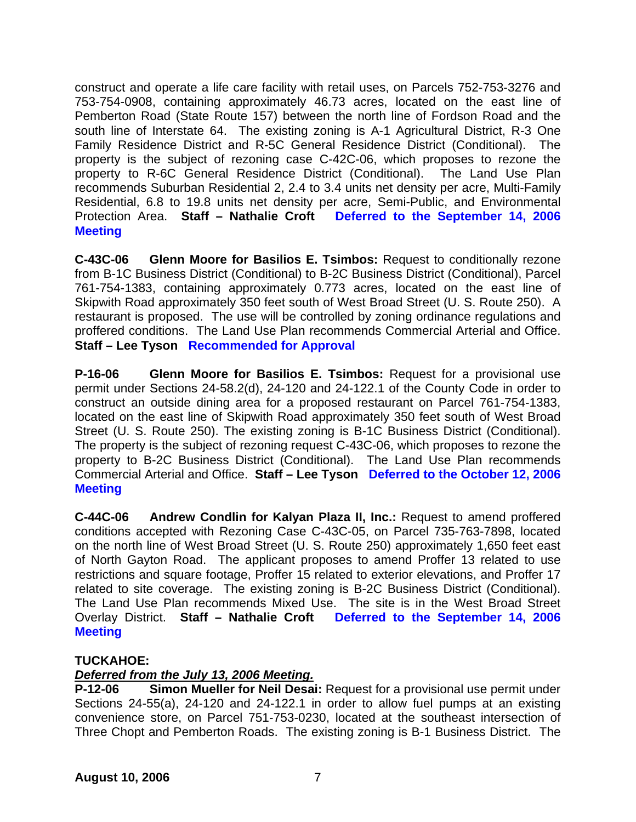construct and operate a life care facility with retail uses, on Parcels 752-753-3276 and 753-754-0908, containing approximately 46.73 acres, located on the east line of Pemberton Road (State Route 157) between the north line of Fordson Road and the south line of Interstate 64. The existing zoning is A-1 Agricultural District, R-3 One Family Residence District and R-5C General Residence District (Conditional). The property is the subject of rezoning case C-42C-06, which proposes to rezone the property to R-6C General Residence District (Conditional). The Land Use Plan recommends Suburban Residential 2, 2.4 to 3.4 units net density per acre, Multi-Family Residential, 6.8 to 19.8 units net density per acre, Semi-Public, and Environmental Protection Area. **Staff – Nathalie Croft Deferred to the September 14, 2006 Meeting** 

**C-43C-06 Glenn Moore for Basilios E. Tsimbos:** Request to conditionally rezone from B-1C Business District (Conditional) to B-2C Business District (Conditional), Parcel 761-754-1383, containing approximately 0.773 acres, located on the east line of Skipwith Road approximately 350 feet south of West Broad Street (U. S. Route 250). A restaurant is proposed. The use will be controlled by zoning ordinance regulations and proffered conditions. The Land Use Plan recommends Commercial Arterial and Office. **Staff – Lee Tyson Recommended for Approval** 

**P-16-06 Glenn Moore for Basilios E. Tsimbos:** Request for a provisional use permit under Sections 24-58.2(d), 24-120 and 24-122.1 of the County Code in order to construct an outside dining area for a proposed restaurant on Parcel 761-754-1383, located on the east line of Skipwith Road approximately 350 feet south of West Broad Street (U. S. Route 250). The existing zoning is B-1C Business District (Conditional). The property is the subject of rezoning request C-43C-06, which proposes to rezone the property to B-2C Business District (Conditional). The Land Use Plan recommends Commercial Arterial and Office. **Staff – Lee Tyson Deferred to the October 12, 2006 Meeting** 

**C-44C-06 Andrew Condlin for Kalyan Plaza II, Inc.:** Request to amend proffered conditions accepted with Rezoning Case C-43C-05, on Parcel 735-763-7898, located on the north line of West Broad Street (U. S. Route 250) approximately 1,650 feet east of North Gayton Road. The applicant proposes to amend Proffer 13 related to use restrictions and square footage, Proffer 15 related to exterior elevations, and Proffer 17 related to site coverage. The existing zoning is B-2C Business District (Conditional). The Land Use Plan recommends Mixed Use. The site is in the West Broad Street Overlay District. **Staff – Nathalie Croft Deferred to the September 14, 2006 Meeting**

# **TUCKAHOE:**

# *Deferred from the July 13, 2006 Meeting.*

**P-12-06 Simon Mueller for Neil Desai:** Request for a provisional use permit under Sections 24-55(a), 24-120 and 24-122.1 in order to allow fuel pumps at an existing convenience store, on Parcel 751-753-0230, located at the southeast intersection of Three Chopt and Pemberton Roads. The existing zoning is B-1 Business District. The